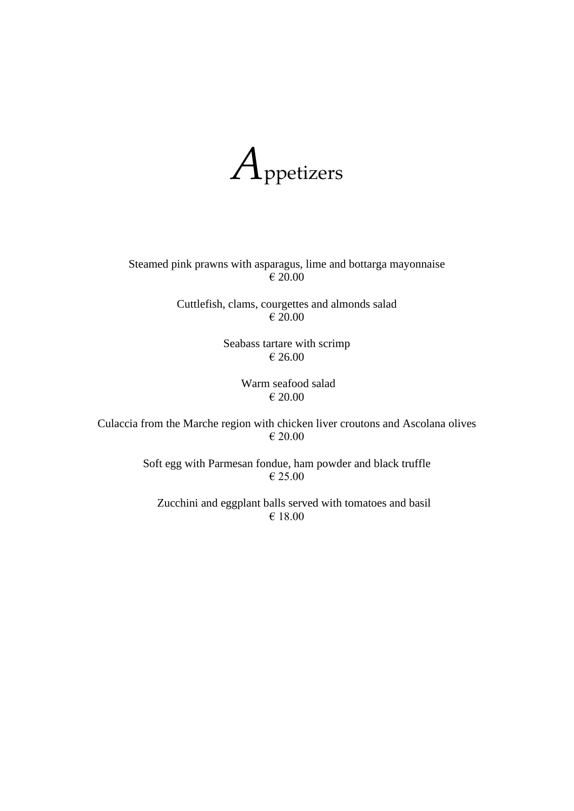

Steamed pink prawns with asparagus, lime and bottarga mayonnaise € 20.00

> Cuttlefish, clams, courgettes and almonds salad € 20.00

> > Seabass tartare with scrimp € 26.00

> > > Warm seafood salad € 20.00

Culaccia from the Marche region with chicken liver croutons and Ascolana olives € 20.00

> Soft egg with Parmesan fondue, ham powder and black truffle € 25.00

Zucchini and eggplant balls served with tomatoes and basil € 18.00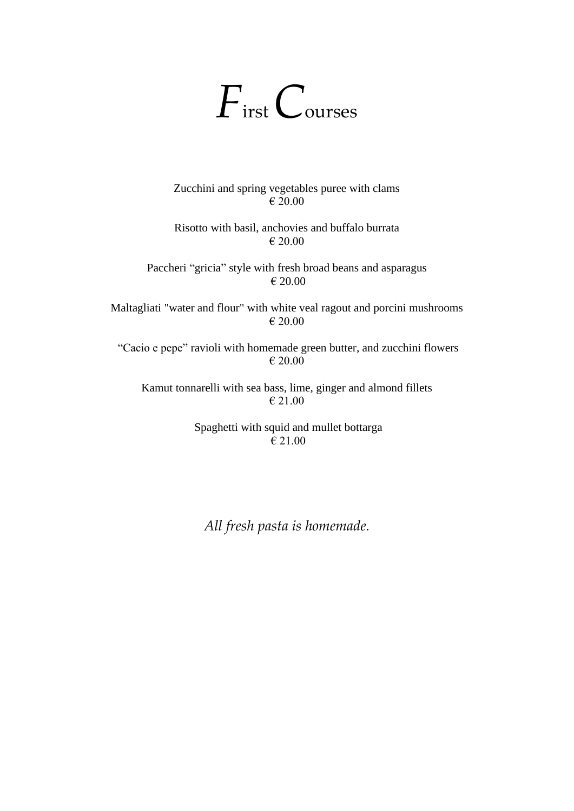## *F*irst *C*ourses

Zucchini and spring vegetables puree with clams € 20.00

Risotto with basil, anchovies and buffalo burrata € 20.00

Paccheri "gricia" style with fresh broad beans and asparagus € 20.00

Maltagliati "water and flour" with white veal ragout and porcini mushrooms € 20.00

"Cacio e pepe" ravioli with homemade green butter, and zucchini flowers € 20.00

Kamut tonnarelli with sea bass, lime, ginger and almond fillets € 21.00

> Spaghetti with squid and mullet bottarga € 21.00

*All fresh pasta is homemade.*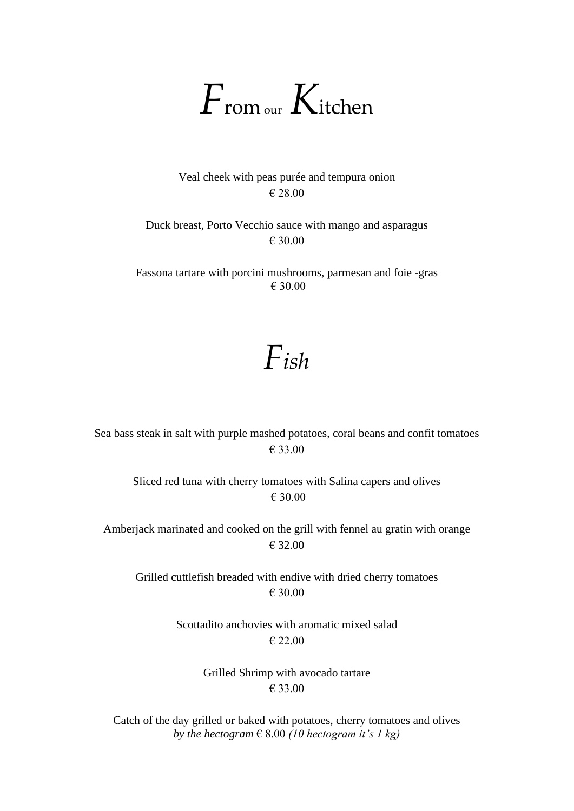

Veal cheek with peas purée and tempura onion € 28.00

Duck breast, Porto Vecchio sauce with mango and asparagus € 30.00

Fassona tartare with porcini mushrooms, parmesan and foie -gras € 30.00

## *Fish*

Sea bass steak in salt with purple mashed potatoes, coral beans and confit tomatoes € 33.00

Sliced red tuna with cherry tomatoes with Salina capers and olives € 30.00

Amberjack marinated and cooked on the grill with fennel au gratin with orange € 32.00

Grilled cuttlefish breaded with endive with dried cherry tomatoes € 30.00

> Scottadito anchovies with aromatic mixed salad € 22.00

> > Grilled Shrimp with avocado tartare € 33.00

Catch of the day grilled or baked with potatoes, cherry tomatoes and olives *by the hectogram*  $\in$  8.00 *(10 hectogram it's 1 kg)*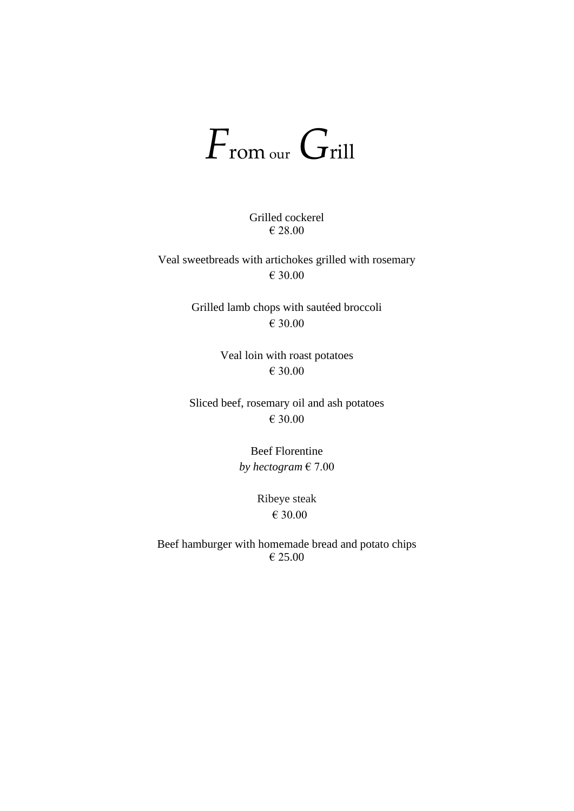## *F*rom our *G*rill

Grilled cockerel € 28.00

Veal sweetbreads with artichokes grilled with rosemary € 30.00

> Grilled lamb chops with sautéed broccoli € 30.00

> > Veal loin with roast potatoes € 30.00

Sliced beef, rosemary oil and ash potatoes € 30.00

> Beef Florentine *by hectogram* € 7.00

> > Ribeye steak € 30.00

Beef hamburger with homemade bread and potato chips € 25.00